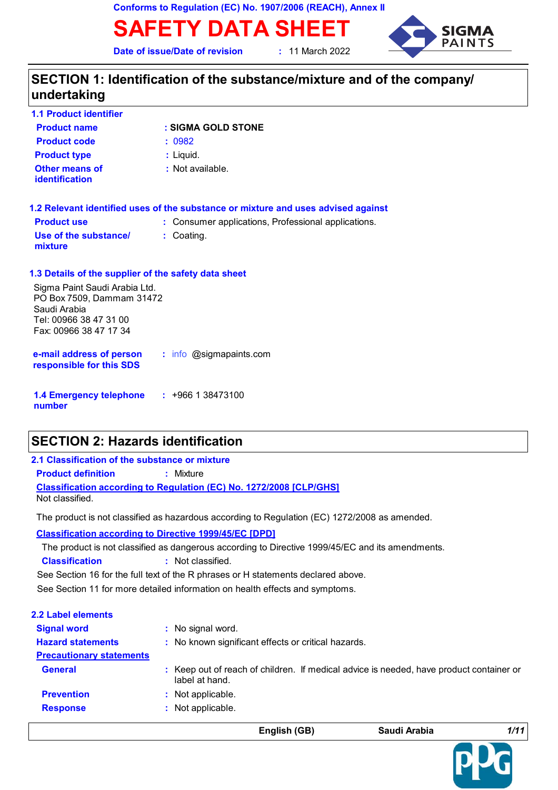**Conforms to Regulation (EC) No. 1907/2006 (REACH), Annex II**

**SAFETY DATA SHEET**

**Date of issue/Date of revision :** 11 March 2022



# **SECTION 1: Identification of the substance/mixture and of the company/ undertaking**

| <b>1.1 Product identifier</b>           |                    |
|-----------------------------------------|--------------------|
| <b>Product name</b>                     | : SIGMA GOLD STONE |
| <b>Product code</b>                     | : 0982             |
| <b>Product type</b>                     | $:$ Liquid.        |
| Other means of<br><b>identification</b> | : Not available.   |

|                                  | 1.2 Relevant identified uses of the substance or mixture and uses advised against |
|----------------------------------|-----------------------------------------------------------------------------------|
| <b>Product use</b>               | : Consumer applications, Professional applications.                               |
| Use of the substance/<br>mixture | $\therefore$ Coating.                                                             |

#### **1.3 Details of the supplier of the safety data sheet**

Sigma Paint Saudi Arabia Ltd. PO Box 7509, Dammam 31472 Saudi Arabia Tel: 00966 38 47 31 00 Fax: 00966 38 47 17 34

**e-mail address of person responsible for this SDS :** info @sigmapaints.com

**1.4 Emergency telephone number :** +966 1 38473100

# **SECTION 2: Hazards identification**

#### **Classification according to Regulation (EC) No. 1272/2008 [CLP/GHS] 2.1 Classification of the substance or mixture Product definition <b>:** Mixture Not classified.

The product is not classified as hazardous according to Regulation (EC) 1272/2008 as amended.

**Classification according to Directive 1999/45/EC [DPD]**

**Classification :** Not classified. The product is not classified as dangerous according to Directive 1999/45/EC and its amendments.

See Section 16 for the full text of the R phrases or H statements declared above.

See Section 11 for more detailed information on health effects and symptoms.

| <b>2.2 Label elements</b>       |                                                                                                           |
|---------------------------------|-----------------------------------------------------------------------------------------------------------|
| <b>Signal word</b>              | : No signal word.                                                                                         |
| <b>Hazard statements</b>        | : No known significant effects or critical hazards.                                                       |
| <b>Precautionary statements</b> |                                                                                                           |
| <b>General</b>                  | : Keep out of reach of children. If medical advice is needed, have product container or<br>label at hand. |
| <b>Prevention</b>               | : Not applicable.                                                                                         |
| <b>Response</b>                 | : Not applicable.                                                                                         |
|                                 |                                                                                                           |

**English (GB) Saudi Arabia** *1/11*

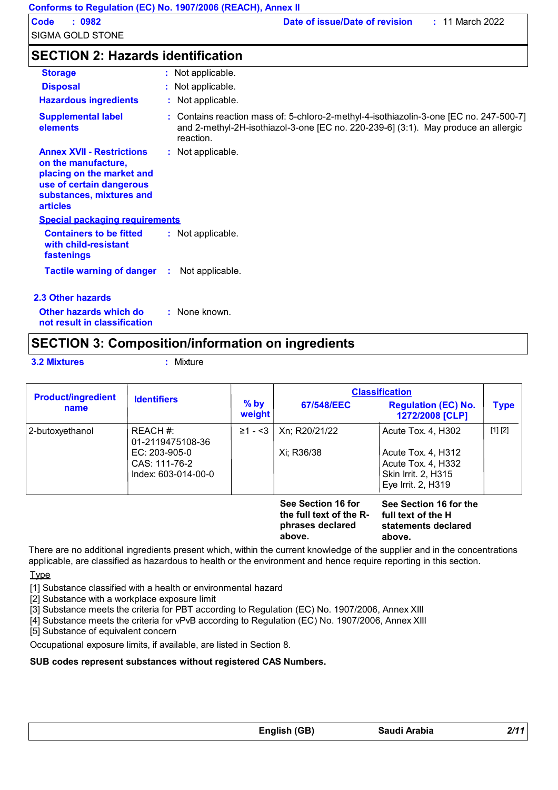# **SECTION 2: Hazards identification**

| <b>Storage</b>                                                                                                                                                  | : Not applicable.                                                                                                                                                                         |
|-----------------------------------------------------------------------------------------------------------------------------------------------------------------|-------------------------------------------------------------------------------------------------------------------------------------------------------------------------------------------|
| <b>Disposal</b>                                                                                                                                                 | : Not applicable.                                                                                                                                                                         |
| <b>Hazardous ingredients</b>                                                                                                                                    | : Not applicable.                                                                                                                                                                         |
| <b>Supplemental label</b><br>elements                                                                                                                           | : Contains reaction mass of: 5-chloro-2-methyl-4-isothiazolin-3-one [EC no. 247-500-7]<br>and 2-methyl-2H-isothiazol-3-one [EC no. 220-239-6] (3:1). May produce an allergic<br>reaction. |
| <b>Annex XVII - Restrictions</b><br>on the manufacture,<br>placing on the market and<br>use of certain dangerous<br>substances, mixtures and<br><b>articles</b> | : Not applicable.                                                                                                                                                                         |
| <b>Special packaging requirements</b>                                                                                                                           |                                                                                                                                                                                           |
| <b>Containers to be fitted</b><br>with child-resistant<br>fastenings                                                                                            | : Not applicable.                                                                                                                                                                         |
| <b>Tactile warning of danger</b>                                                                                                                                | Not applicable.<br>÷.                                                                                                                                                                     |
| 2.3 Other hazards                                                                                                                                               |                                                                                                                                                                                           |
| Other hazards which do<br>not result in classification                                                                                                          | : None known.                                                                                                                                                                             |

# **SECTION 3: Composition/information on ingredients**

**3.2 Mixtures :** Mixture

| <b>Product/ingredient</b> |                              |                  | <b>Classification</b>                                             |                                                                     |             |
|---------------------------|------------------------------|------------------|-------------------------------------------------------------------|---------------------------------------------------------------------|-------------|
| name                      | <b>Identifiers</b>           | $%$ by<br>weight | 67/548/EEC                                                        | <b>Regulation (EC) No.</b><br>1272/2008 [CLP]                       | <b>Type</b> |
| 2-butoxyethanol           | REACH #:<br>01-2119475108-36 | $\geq 1 - 3$     | Xn; R20/21/22                                                     | Acute Tox. 4, H302                                                  | [1] [2]     |
|                           | EC: 203-905-0                |                  | Xi; R36/38                                                        | Acute Tox. 4, H312                                                  |             |
|                           | CAS: 111-76-2                |                  |                                                                   | Acute Tox. 4, H332                                                  |             |
|                           | Index: 603-014-00-0          |                  |                                                                   | Skin Irrit. 2, H315                                                 |             |
|                           |                              |                  |                                                                   | Eye Irrit. 2, H319                                                  |             |
|                           |                              |                  | See Section 16 for<br>the full text of the R-<br>phrases declared | See Section 16 for the<br>full text of the H<br>statements declared |             |

**above.**

**statements declared above.**

There are no additional ingredients present which, within the current knowledge of the supplier and in the concentrations applicable, are classified as hazardous to health or the environment and hence require reporting in this section.

Type

[1] Substance classified with a health or environmental hazard

[2] Substance with a workplace exposure limit

[3] Substance meets the criteria for PBT according to Regulation (EC) No. 1907/2006, Annex XIII

[4] Substance meets the criteria for vPvB according to Regulation (EC) No. 1907/2006, Annex XIII

[5] Substance of equivalent concern

Occupational exposure limits, if available, are listed in Section 8.

#### **SUB codes represent substances without registered CAS Numbers.**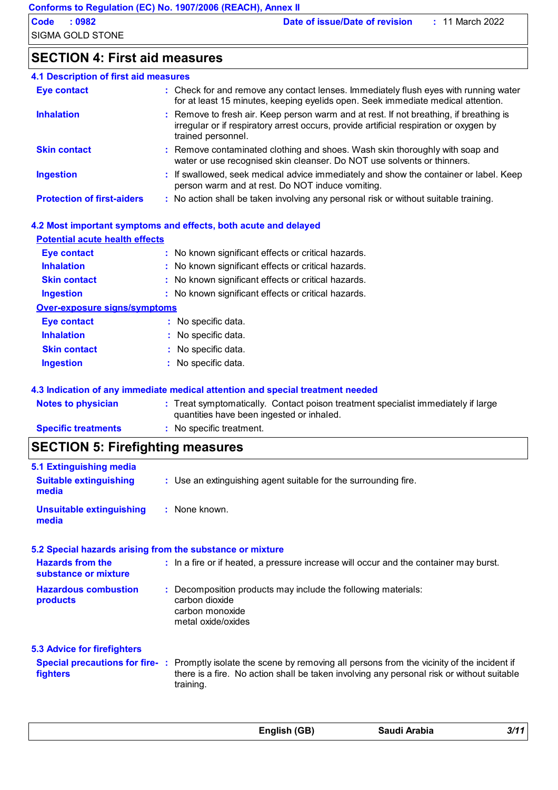# **SECTION 4: First aid measures**

| <b>4.1 Description of first aid measures</b> |                                                                                                                                                                                                        |
|----------------------------------------------|--------------------------------------------------------------------------------------------------------------------------------------------------------------------------------------------------------|
| Eye contact                                  | : Check for and remove any contact lenses. Immediately flush eyes with running water<br>for at least 15 minutes, keeping eyelids open. Seek immediate medical attention.                               |
| <b>Inhalation</b>                            | : Remove to fresh air. Keep person warm and at rest. If not breathing, if breathing is<br>irregular or if respiratory arrest occurs, provide artificial respiration or oxygen by<br>trained personnel. |
| <b>Skin contact</b>                          | : Remove contaminated clothing and shoes. Wash skin thoroughly with soap and<br>water or use recognised skin cleanser. Do NOT use solvents or thinners.                                                |
| <b>Ingestion</b>                             | : If swallowed, seek medical advice immediately and show the container or label. Keep<br>person warm and at rest. Do NOT induce vomiting.                                                              |
| <b>Protection of first-aiders</b>            | : No action shall be taken involving any personal risk or without suitable training.                                                                                                                   |

| Eye contact                         | : No known significant effects or critical hazards.                               |
|-------------------------------------|-----------------------------------------------------------------------------------|
| <b>Inhalation</b>                   | : No known significant effects or critical hazards.                               |
| <b>Skin contact</b>                 | : No known significant effects or critical hazards.                               |
| <b>Ingestion</b>                    | : No known significant effects or critical hazards.                               |
| <b>Over-exposure signs/symptoms</b> |                                                                                   |
| <b>Eye contact</b>                  | : No specific data.                                                               |
| <b>Inhalation</b>                   | : No specific data.                                                               |
| <b>Skin contact</b>                 | : No specific data.                                                               |
| <b>Ingestion</b>                    | : No specific data.                                                               |
|                                     | 4.3 Indication of any immediate medical attention and special treatment needed    |
| <b>Notes to physician</b>           | : Treat symptomatically. Contact poison treatment specialist immediately if large |

| ______________             |                                           |
|----------------------------|-------------------------------------------|
| <b>Specific treatments</b> | : No specific treatment.                  |
|                            | quantities have been ingested or inhaled. |

# **SECTION 5: Firefighting measures**

| 5.1 Extinguishing media                                   |                                                                                                                                                                                                                                  |
|-----------------------------------------------------------|----------------------------------------------------------------------------------------------------------------------------------------------------------------------------------------------------------------------------------|
| <b>Suitable extinguishing</b><br>media                    | : Use an extinguishing agent suitable for the surrounding fire.                                                                                                                                                                  |
| <b>Unsuitable extinguishing</b><br>media                  | : None known.                                                                                                                                                                                                                    |
| 5.2 Special hazards arising from the substance or mixture |                                                                                                                                                                                                                                  |
| <b>Hazards from the</b><br>substance or mixture           | : In a fire or if heated, a pressure increase will occur and the container may burst.                                                                                                                                            |
| <b>Hazardous combustion</b><br>products                   | : Decomposition products may include the following materials:<br>carbon dioxide<br>carbon monoxide<br>metal oxide/oxides                                                                                                         |
| 5.3 Advice for firefighters                               |                                                                                                                                                                                                                                  |
| <b>fighters</b>                                           | Special precautions for fire-: Promptly isolate the scene by removing all persons from the vicinity of the incident if<br>there is a fire. No action shall be taken involving any personal risk or without suitable<br>training. |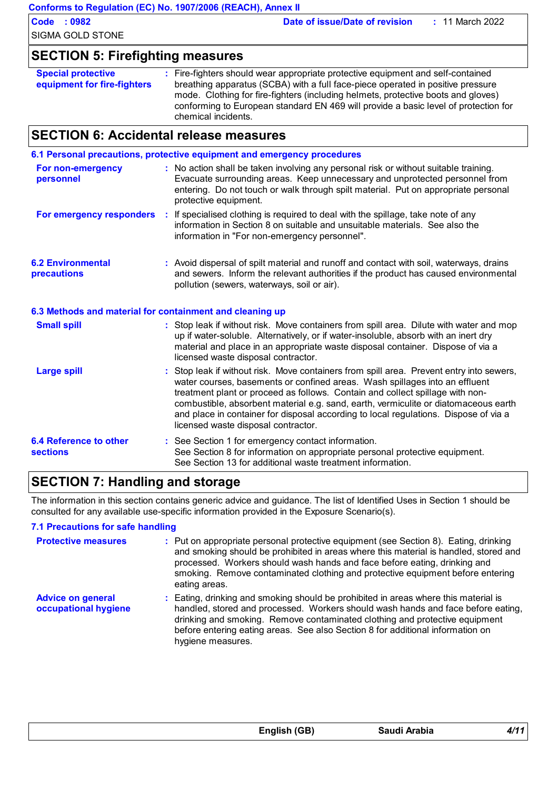|                                                          | Conforms to Regulation (EC) No. 1907/2006 (REACH), Annex II                                                                                                                                                                                                                                                                                                                                                                                                                  |
|----------------------------------------------------------|------------------------------------------------------------------------------------------------------------------------------------------------------------------------------------------------------------------------------------------------------------------------------------------------------------------------------------------------------------------------------------------------------------------------------------------------------------------------------|
| <b>Code : 0982</b>                                       | Date of issue/Date of revision<br>: 11 March 2022                                                                                                                                                                                                                                                                                                                                                                                                                            |
| <b>SIGMA GOLD STONE</b>                                  |                                                                                                                                                                                                                                                                                                                                                                                                                                                                              |
| <b>SECTION 5: Firefighting measures</b>                  |                                                                                                                                                                                                                                                                                                                                                                                                                                                                              |
| <b>Special protective</b><br>equipment for fire-fighters | : Fire-fighters should wear appropriate protective equipment and self-contained<br>breathing apparatus (SCBA) with a full face-piece operated in positive pressure<br>mode. Clothing for fire-fighters (including helmets, protective boots and gloves)<br>conforming to European standard EN 469 will provide a basic level of protection for<br>chemical incidents.                                                                                                        |
| <b>SECTION 6: Accidental release measures</b>            |                                                                                                                                                                                                                                                                                                                                                                                                                                                                              |
|                                                          | 6.1 Personal precautions, protective equipment and emergency procedures                                                                                                                                                                                                                                                                                                                                                                                                      |
| For non-emergency<br>personnel                           | : No action shall be taken involving any personal risk or without suitable training.<br>Evacuate surrounding areas. Keep unnecessary and unprotected personnel from<br>entering. Do not touch or walk through spilt material. Put on appropriate personal<br>protective equipment.                                                                                                                                                                                           |
| For emergency responders                                 | : If specialised clothing is required to deal with the spillage, take note of any<br>information in Section 8 on suitable and unsuitable materials. See also the<br>information in "For non-emergency personnel".                                                                                                                                                                                                                                                            |
| <b>6.2 Environmental</b><br>precautions                  | : Avoid dispersal of spilt material and runoff and contact with soil, waterways, drains<br>and sewers. Inform the relevant authorities if the product has caused environmental<br>pollution (sewers, waterways, soil or air).                                                                                                                                                                                                                                                |
| 6.3 Methods and material for containment and cleaning up |                                                                                                                                                                                                                                                                                                                                                                                                                                                                              |
| <b>Small spill</b>                                       | : Stop leak if without risk. Move containers from spill area. Dilute with water and mop<br>up if water-soluble. Alternatively, or if water-insoluble, absorb with an inert dry<br>material and place in an appropriate waste disposal container. Dispose of via a<br>licensed waste disposal contractor.                                                                                                                                                                     |
| <b>Large spill</b>                                       | Stop leak if without risk. Move containers from spill area. Prevent entry into sewers,<br>water courses, basements or confined areas. Wash spillages into an effluent<br>treatment plant or proceed as follows. Contain and collect spillage with non-<br>combustible, absorbent material e.g. sand, earth, vermiculite or diatomaceous earth<br>and place in container for disposal according to local regulations. Dispose of via a<br>licensed waste disposal contractor. |
| <b>6.4 Reference to other</b><br>sections                | : See Section 1 for emergency contact information.<br>See Section 8 for information on appropriate personal protective equipment.<br>See Section 13 for additional waste treatment information.                                                                                                                                                                                                                                                                              |

# **SECTION 7: Handling and storage**

The information in this section contains generic advice and guidance. The list of Identified Uses in Section 1 should be consulted for any available use-specific information provided in the Exposure Scenario(s).

#### **7.1 Precautions for safe handling**

| <b>Protective measures</b>                       | : Put on appropriate personal protective equipment (see Section 8). Eating, drinking<br>and smoking should be prohibited in areas where this material is handled, stored and<br>processed. Workers should wash hands and face before eating, drinking and<br>smoking. Remove contaminated clothing and protective equipment before entering<br>eating areas.  |
|--------------------------------------------------|---------------------------------------------------------------------------------------------------------------------------------------------------------------------------------------------------------------------------------------------------------------------------------------------------------------------------------------------------------------|
| <b>Advice on general</b><br>occupational hygiene | : Eating, drinking and smoking should be prohibited in areas where this material is<br>handled, stored and processed. Workers should wash hands and face before eating,<br>drinking and smoking. Remove contaminated clothing and protective equipment<br>before entering eating areas. See also Section 8 for additional information on<br>hygiene measures. |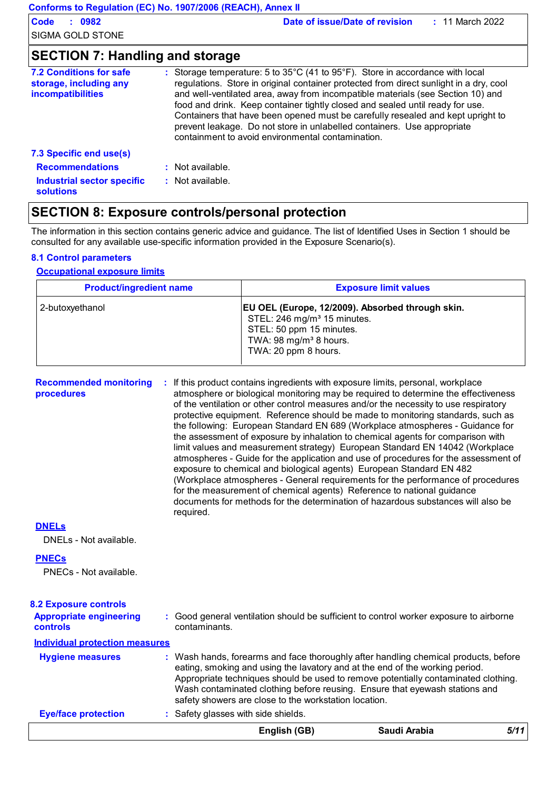| <b>7.2 Conditions for safe</b><br>storage, including any<br><i>incompatibilities</i> | : Storage temperature: 5 to $35^{\circ}$ C (41 to $95^{\circ}$ F). Store in accordance with local<br>regulations. Store in original container protected from direct sunlight in a dry, cool<br>and well-ventilated area, away from incompatible materials (see Section 10) and<br>food and drink. Keep container tightly closed and sealed until ready for use.<br>Containers that have been opened must be carefully resealed and kept upright to<br>prevent leakage. Do not store in unlabelled containers. Use appropriate<br>containment to avoid environmental contamination. |  |
|--------------------------------------------------------------------------------------|------------------------------------------------------------------------------------------------------------------------------------------------------------------------------------------------------------------------------------------------------------------------------------------------------------------------------------------------------------------------------------------------------------------------------------------------------------------------------------------------------------------------------------------------------------------------------------|--|
| 7.3 Specific end use(s)                                                              |                                                                                                                                                                                                                                                                                                                                                                                                                                                                                                                                                                                    |  |
| <b>Recommendations</b>                                                               | $:$ Not available.                                                                                                                                                                                                                                                                                                                                                                                                                                                                                                                                                                 |  |
| Industrial sector specific<br><b>solutions</b>                                       | $:$ Not available.                                                                                                                                                                                                                                                                                                                                                                                                                                                                                                                                                                 |  |

# **SECTION 8: Exposure controls/personal protection**

The information in this section contains generic advice and guidance. The list of Identified Uses in Section 1 should be consulted for any available use-specific information provided in the Exposure Scenario(s).

#### **8.1 Control parameters**

#### **Occupational exposure limits**

| <b>Product/ingredient name</b> | <b>Exposure limit values</b>                                                                                                                                                          |
|--------------------------------|---------------------------------------------------------------------------------------------------------------------------------------------------------------------------------------|
| 2-butoxyethanol                | EU OEL (Europe, 12/2009). Absorbed through skin.<br>STEL: 246 mg/m <sup>3</sup> 15 minutes.<br>STEL: 50 ppm 15 minutes.<br>TWA: 98 mg/m <sup>3</sup> 8 hours.<br>TWA: 20 ppm 8 hours. |

**Recommended monitoring procedures :** If this product contains ingredients with exposure limits, personal, workplace atmosphere or biological monitoring may be required to determine the effectiveness of the ventilation or other control measures and/or the necessity to use respiratory protective equipment. Reference should be made to monitoring standards, such as the following: European Standard EN 689 (Workplace atmospheres - Guidance for the assessment of exposure by inhalation to chemical agents for comparison with limit values and measurement strategy) European Standard EN 14042 (Workplace atmospheres - Guide for the application and use of procedures for the assessment of exposure to chemical and biological agents) European Standard EN 482 (Workplace atmospheres - General requirements for the performance of procedures for the measurement of chemical agents) Reference to national guidance documents for methods for the determination of hazardous substances will also be required.

#### **DNELs**

DNELs - Not available.

#### **PNECs**

PNECs - Not available.

| <b>8.2 Exposure controls</b><br><b>Appropriate engineering</b><br><b>controls</b><br><b>Individual protection measures</b> | contaminants.                                                                                                                                                                                                        | : Good general ventilation should be sufficient to control worker exposure to airborne                                                                                    |
|----------------------------------------------------------------------------------------------------------------------------|----------------------------------------------------------------------------------------------------------------------------------------------------------------------------------------------------------------------|---------------------------------------------------------------------------------------------------------------------------------------------------------------------------|
| <b>Hygiene measures</b>                                                                                                    | eating, smoking and using the lavatory and at the end of the working period.<br>Wash contaminated clothing before reusing. Ensure that eyewash stations and<br>safety showers are close to the workstation location. | : Wash hands, forearms and face thoroughly after handling chemical products, before<br>Appropriate techniques should be used to remove potentially contaminated clothing. |
| <b>Eye/face protection</b>                                                                                                 | : Safety glasses with side shields.                                                                                                                                                                                  |                                                                                                                                                                           |
|                                                                                                                            | English (GB)                                                                                                                                                                                                         | Saudi Arabia<br>5/1                                                                                                                                                       |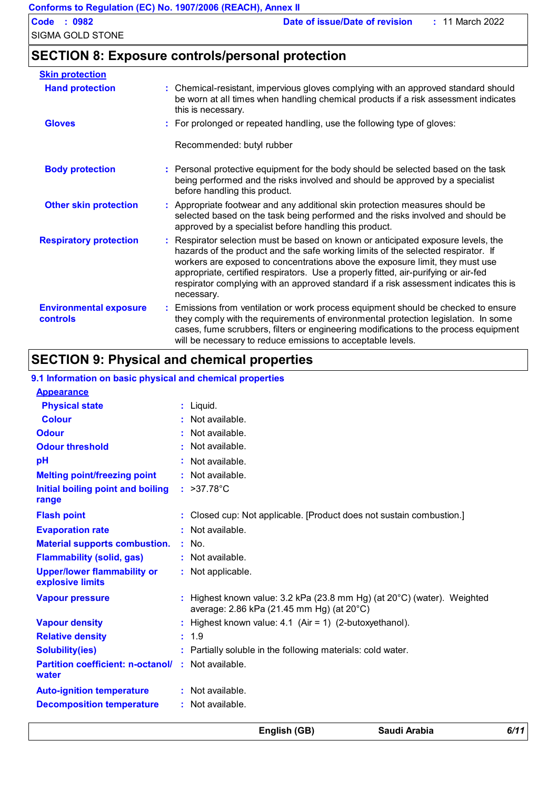# **SECTION 8: Exposure controls/personal protection**

| <b>Skin protection</b>                           |    |                                                                                                                                                                                                                                                                                                                                                                                                                                                     |
|--------------------------------------------------|----|-----------------------------------------------------------------------------------------------------------------------------------------------------------------------------------------------------------------------------------------------------------------------------------------------------------------------------------------------------------------------------------------------------------------------------------------------------|
| <b>Hand protection</b>                           |    | : Chemical-resistant, impervious gloves complying with an approved standard should<br>be worn at all times when handling chemical products if a risk assessment indicates<br>this is necessary.                                                                                                                                                                                                                                                     |
| <b>Gloves</b>                                    |    | : For prolonged or repeated handling, use the following type of gloves:                                                                                                                                                                                                                                                                                                                                                                             |
|                                                  |    | Recommended: butyl rubber                                                                                                                                                                                                                                                                                                                                                                                                                           |
| <b>Body protection</b>                           |    | : Personal protective equipment for the body should be selected based on the task<br>being performed and the risks involved and should be approved by a specialist<br>before handling this product.                                                                                                                                                                                                                                                 |
| <b>Other skin protection</b>                     |    | : Appropriate footwear and any additional skin protection measures should be<br>selected based on the task being performed and the risks involved and should be<br>approved by a specialist before handling this product.                                                                                                                                                                                                                           |
| <b>Respiratory protection</b>                    |    | Respirator selection must be based on known or anticipated exposure levels, the<br>hazards of the product and the safe working limits of the selected respirator. If<br>workers are exposed to concentrations above the exposure limit, they must use<br>appropriate, certified respirators. Use a properly fitted, air-purifying or air-fed<br>respirator complying with an approved standard if a risk assessment indicates this is<br>necessary. |
| <b>Environmental exposure</b><br><b>controls</b> | ÷. | Emissions from ventilation or work process equipment should be checked to ensure<br>they comply with the requirements of environmental protection legislation. In some<br>cases, fume scrubbers, filters or engineering modifications to the process equipment<br>will be necessary to reduce emissions to acceptable levels.                                                                                                                       |

# **SECTION 9: Physical and chemical properties**

#### >37.78°C **: Physical state Melting point/freezing point Initial boiling point and boiling range Relative density Solubility(ies)** Liquid. **: :** Not available. 1.9 **:** Partially soluble in the following materials: cold water. **: Odour** : Not available. **pH Colour** : Not available. **Evaporation rate Auto-ignition temperature Flash point :** Not available. Closed cup: Not applicable. [Product does not sustain combustion.] **: Partition coefficient: n-octanol/ :** Not available. **:** Not available. **Odour threshold water :** : Not available. **9.1 Information on basic physical and chemical properties Appearance Decomposition temperature :** Not available. **Flammability (solid, gas) :** Not available. **Material supports combustion. :** No. **Upper/lower flammability or :** Not applicable. **explosive limits** : Highest known value: 3.2 kPa (23.8 mm Hg) (at 20°C) (water). Weighted average: 2.86 kPa (21.45 mm Hg) (at 20°C) **Vapour pressure : Vapour density :** Highest known value: 4.1 (Air = 1) (2-butoxyethanol).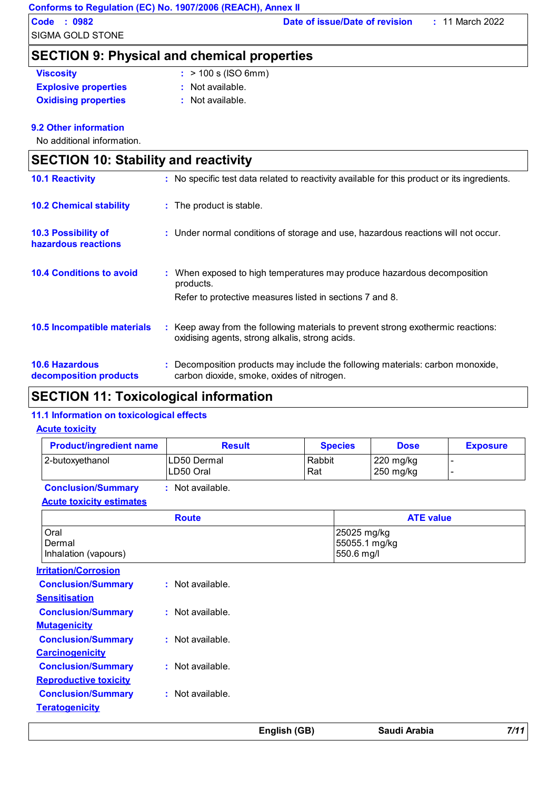|                                             | Conforms to Regulation (EC) No. 1907/2006 (REACH), Annex II                                  |
|---------------------------------------------|----------------------------------------------------------------------------------------------|
| $\therefore$ 0982<br>Code                   | Date of issue/Date of revision<br>$: 11$ March 2022                                          |
| SIGMA GOLD STONE                            |                                                                                              |
|                                             | <b>SECTION 9: Physical and chemical properties</b>                                           |
| <b>Viscosity</b>                            | $:$ > 100 s (ISO 6mm)                                                                        |
| <b>Explosive properties</b>                 | $:$ Not available.                                                                           |
| <b>Oxidising properties</b>                 | : Not available.                                                                             |
| 9.2 Other information                       |                                                                                              |
| No additional information.                  |                                                                                              |
| <b>SECTION 10: Stability and reactivity</b> |                                                                                              |
| <b>10.1 Reactivity</b>                      | : No specific test data related to reactivity available for this product or its ingredients. |

| <b>10.2 Chemical stability</b>                    | : The product is stable.                                                          |
|---------------------------------------------------|-----------------------------------------------------------------------------------|
| <b>10.3 Possibility of</b><br>hazardous reactions | : Under normal conditions of storage and use, hazardous reactions will not occur. |
| <b>10.4 Conditions to avoid</b>                   | : When exposed to high temperatures may produce hazardous decomposition           |

|                                                 | products.<br>Refer to protective measures listed in sections 7 and 8.                                                             |
|-------------------------------------------------|-----------------------------------------------------------------------------------------------------------------------------------|
| <b>10.5 Incompatible materials</b>              | Keep away from the following materials to prevent strong exothermic reactions:<br>oxidising agents, strong alkalis, strong acids. |
| <b>10.6 Hazardous</b><br>decomposition products | : Decomposition products may include the following materials: carbon monoxide,<br>carbon dioxide, smoke, oxides of nitrogen.      |

# **SECTION 11: Toxicological information**

#### **11.1 Information on toxicological effects**

#### **Acute toxicity**

| <b>Product/ingredient name</b>         | <b>Result</b>            |               | <b>Species</b>                             | <b>Dose</b>            | <b>Exposure</b> |
|----------------------------------------|--------------------------|---------------|--------------------------------------------|------------------------|-----------------|
| 2-butoxyethanol                        | LD50 Dermal<br>LD50 Oral | Rabbit<br>Rat |                                            | 220 mg/kg<br>250 mg/kg | ٠               |
| <b>Conclusion/Summary</b>              | : Not available.         |               |                                            |                        |                 |
| <b>Acute toxicity estimates</b>        |                          |               |                                            |                        |                 |
|                                        | <b>Route</b>             |               |                                            | <b>ATE value</b>       |                 |
| Oral<br>Dermal<br>Inhalation (vapours) |                          |               | 25025 mg/kg<br>55055.1 mg/kg<br>550.6 mg/l |                        |                 |
| <b>Irritation/Corrosion</b>            |                          |               |                                            |                        |                 |
| <b>Conclusion/Summary</b>              | : Not available.         |               |                                            |                        |                 |
| <b>Sensitisation</b>                   |                          |               |                                            |                        |                 |
| <b>Conclusion/Summary</b>              | : Not available.         |               |                                            |                        |                 |
| <b>Mutagenicity</b>                    |                          |               |                                            |                        |                 |
| <b>Conclusion/Summary</b>              | : Not available.         |               |                                            |                        |                 |
| <b>Carcinogenicity</b>                 |                          |               |                                            |                        |                 |
| <b>Conclusion/Summary</b>              | : Not available.         |               |                                            |                        |                 |
| <b>Reproductive toxicity</b>           |                          |               |                                            |                        |                 |
| <b>Conclusion/Summary</b>              | : Not available.         |               |                                            |                        |                 |
| <b>Teratogenicity</b>                  |                          |               |                                            |                        |                 |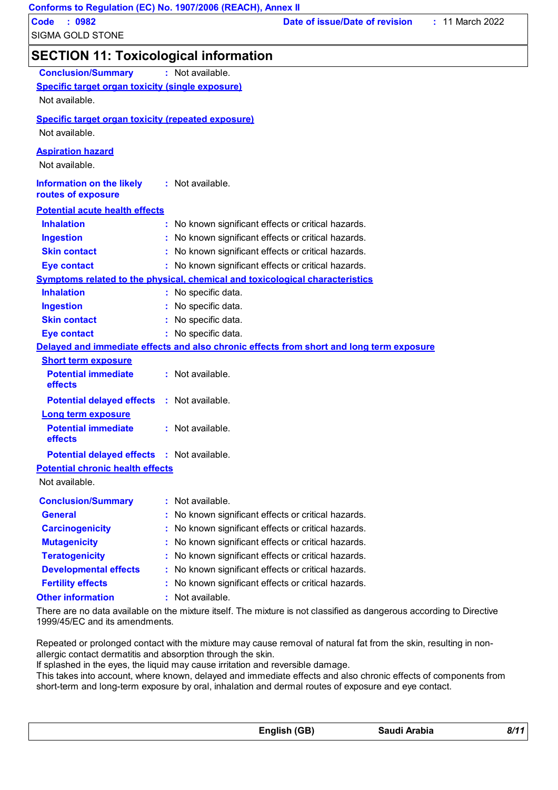| Conforms to Regulation (EC) No. 1907/2006 (REACH), Annex II |                                                                                     |                                |                   |
|-------------------------------------------------------------|-------------------------------------------------------------------------------------|--------------------------------|-------------------|
| <b>Code</b><br>: 0982                                       |                                                                                     | Date of issue/Date of revision | $: 11$ March 2022 |
| SIGMA GOLD STONE                                            |                                                                                     |                                |                   |
| <b>SECTION 11: Toxicological information</b>                |                                                                                     |                                |                   |
| <b>Conclusion/Summary</b>                                   | : Not available.                                                                    |                                |                   |
| <b>Specific target organ toxicity (single exposure)</b>     |                                                                                     |                                |                   |
| Not available.                                              |                                                                                     |                                |                   |
| <b>Specific target organ toxicity (repeated exposure)</b>   |                                                                                     |                                |                   |
| Not available.                                              |                                                                                     |                                |                   |
| <b>Aspiration hazard</b><br>Not available.                  |                                                                                     |                                |                   |
| <b>Information on the likely</b><br>routes of exposure      | $:$ Not available.                                                                  |                                |                   |
| <b>Potential acute health effects</b>                       |                                                                                     |                                |                   |
| <b>Inhalation</b>                                           | : No known significant effects or critical hazards.                                 |                                |                   |
| <b>Ingestion</b>                                            | : No known significant effects or critical hazards.                                 |                                |                   |
| <b>Skin contact</b>                                         | : No known significant effects or critical hazards.                                 |                                |                   |
| <b>Eye contact</b>                                          | : No known significant effects or critical hazards.                                 |                                |                   |
|                                                             | <u>Symptoms related to the physical, chemical and toxicological characteristics</u> |                                |                   |

**Potential chronic health effects Skin contact Ingestion** No specific data. **:** No specific data. **: Eye contact :** No specific data. **Delayed and immediate effects and also chronic effects from short and long term exposure Short term exposure Long term exposure Potential immediate effects Potential delayed effects :** Not available. **:** Not available. **Potential immediate effects Potential delayed effects :** Not available. **:** Not available.

**Inhalation :** No specific data.

Not available.

| <b>Conclusion/Summary</b>    | : Not available.                                    |
|------------------------------|-----------------------------------------------------|
| <b>General</b>               | : No known significant effects or critical hazards. |
| <b>Carcinogenicity</b>       | : No known significant effects or critical hazards. |
| <b>Mutagenicity</b>          | : No known significant effects or critical hazards. |
| <b>Teratogenicity</b>        | : No known significant effects or critical hazards. |
| <b>Developmental effects</b> | : No known significant effects or critical hazards. |
| <b>Fertility effects</b>     | : No known significant effects or critical hazards. |
| <b>Other information</b>     | : Not available.                                    |

There are no data available on the mixture itself. The mixture is not classified as dangerous according to Directive 1999/45/EC and its amendments.

Repeated or prolonged contact with the mixture may cause removal of natural fat from the skin, resulting in nonallergic contact dermatitis and absorption through the skin.

If splashed in the eyes, the liquid may cause irritation and reversible damage.

This takes into account, where known, delayed and immediate effects and also chronic effects of components from short-term and long-term exposure by oral, inhalation and dermal routes of exposure and eye contact.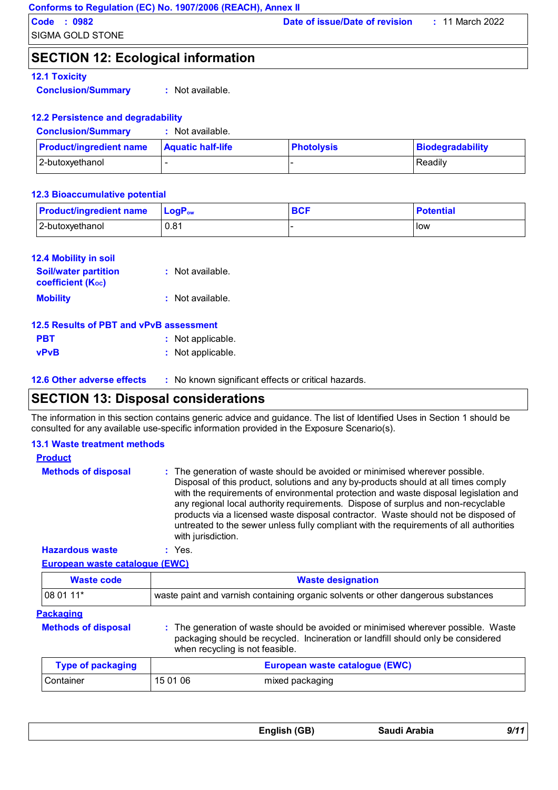# **SECTION 12: Ecological information**

### **12.1 Toxicity**

**Conclusion/Summary :** Not available.

#### **12.2 Persistence and degradability**

| <b>Conclusion/Summary</b>      | Not available.           |                   |                  |
|--------------------------------|--------------------------|-------------------|------------------|
| <b>Product/ingredient name</b> | <b>Aquatic half-life</b> | <b>Photolysis</b> | Biodegradability |
| 2-butoxyethanol                | $\sim$                   |                   | Readily          |

#### **12.3 Bioaccumulative potential**

| <b>Product/ingredient name</b> | <b>LogP</b> <sub>ow</sub> | <b>BCF</b> | <b>Potential</b> |
|--------------------------------|---------------------------|------------|------------------|
| 2-butoxyethanol                | 0.81                      |            | <b>I</b> ow      |

| <b>12.4 Mobility in soil</b>                            |                    |
|---------------------------------------------------------|--------------------|
| <b>Soil/water partition</b><br><b>coefficient (Koc)</b> | : Not available.   |
| <b>Mobility</b>                                         | $:$ Not available. |

| 12.5 Results of PBT and vPvB assessment |                   |
|-----------------------------------------|-------------------|
| <b>PBT</b>                              | : Not applicable. |
| <b>vPvB</b>                             | : Not applicable. |

# **SECTION 13: Disposal considerations**

The information in this section contains generic advice and guidance. The list of Identified Uses in Section 1 should be consulted for any available use-specific information provided in the Exposure Scenario(s).

| <b>13.1 Waste treatment methods</b>   |                                                                                                                                                                                                                                                                                                                                                                                                                                                                                                                                                     |
|---------------------------------------|-----------------------------------------------------------------------------------------------------------------------------------------------------------------------------------------------------------------------------------------------------------------------------------------------------------------------------------------------------------------------------------------------------------------------------------------------------------------------------------------------------------------------------------------------------|
| <b>Product</b>                        |                                                                                                                                                                                                                                                                                                                                                                                                                                                                                                                                                     |
| <b>Methods of disposal</b>            | : The generation of waste should be avoided or minimised wherever possible.<br>Disposal of this product, solutions and any by-products should at all times comply<br>with the requirements of environmental protection and waste disposal legislation and<br>any regional local authority requirements. Dispose of surplus and non-recyclable<br>products via a licensed waste disposal contractor. Waste should not be disposed of<br>untreated to the sewer unless fully compliant with the requirements of all authorities<br>with jurisdiction. |
| <b>Hazardous waste</b>                | $:$ Yes.                                                                                                                                                                                                                                                                                                                                                                                                                                                                                                                                            |
| <b>European waste catalogue (EWC)</b> |                                                                                                                                                                                                                                                                                                                                                                                                                                                                                                                                                     |
| <b>Waste code</b>                     | <b>Waste designation</b>                                                                                                                                                                                                                                                                                                                                                                                                                                                                                                                            |
| 08 01 11*                             | waste paint and varnish containing organic solvents or other dangerous substances                                                                                                                                                                                                                                                                                                                                                                                                                                                                   |
| <b>Packaging</b>                      |                                                                                                                                                                                                                                                                                                                                                                                                                                                                                                                                                     |
| <b>Methods of disposal</b>            | : The generation of waste should be avoided or minimised wherever possible. Waste<br>packaging should be recycled. Incineration or landfill should only be considered<br>when recycling is not feasible.                                                                                                                                                                                                                                                                                                                                            |
| <b>Type of packaging</b>              | European waste catalogue (EWC)                                                                                                                                                                                                                                                                                                                                                                                                                                                                                                                      |
| Container                             | 15 01 06<br>mixed packaging                                                                                                                                                                                                                                                                                                                                                                                                                                                                                                                         |
|                                       |                                                                                                                                                                                                                                                                                                                                                                                                                                                                                                                                                     |

| English (GB) | Saudi Arabia | 9/11 |
|--------------|--------------|------|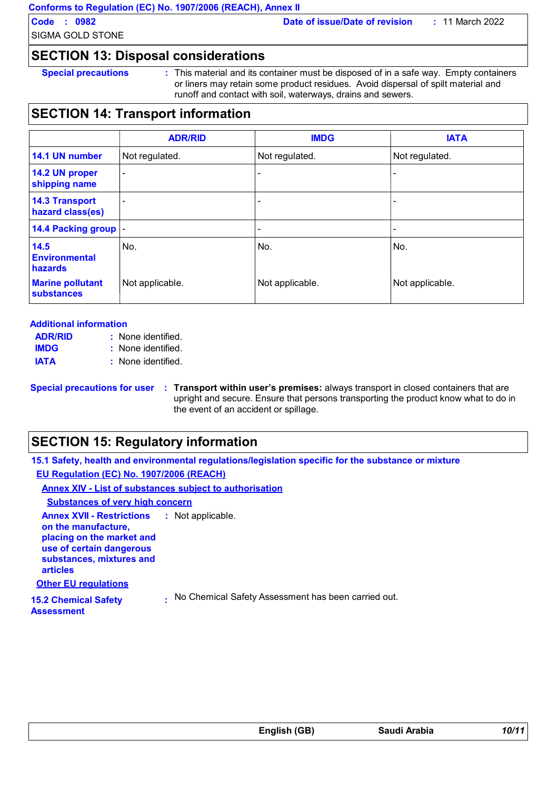SIGMA GOLD STONE

**Code : 0982 Date of issue/Date of revision :** 11 March 2022

# **SECTION 13: Disposal considerations**

**Special precautions :** This material and its container must be disposed of in a safe way. Empty containers or liners may retain some product residues. Avoid dispersal of spilt material and runoff and contact with soil, waterways, drains and sewers.

# **SECTION 14: Transport information**

|                                              | <b>ADR/RID</b>           | <b>IMDG</b>     | <b>IATA</b>              |
|----------------------------------------------|--------------------------|-----------------|--------------------------|
| 14.1 UN number                               | Not regulated.           | Not regulated.  | Not regulated.           |
| 14.2 UN proper<br>shipping name              | $\overline{\phantom{a}}$ |                 |                          |
| <b>14.3 Transport</b><br>hazard class(es)    | ۰                        |                 |                          |
| 14.4 Packing group  -                        |                          |                 | $\overline{\phantom{0}}$ |
| 14.5<br><b>Environmental</b><br>hazards      | No.                      | No.             | No.                      |
| <b>Marine pollutant</b><br><b>substances</b> | Not applicable.          | Not applicable. | Not applicable.          |

#### **Additional information**

| <b>ADR/RID</b> | : None identified. |
|----------------|--------------------|
| <b>IMDG</b>    | : None identified. |
| <b>IATA</b>    | : None identified. |

**Special precautions for user** : Transport within user's premises: always transport in closed containers that are upright and secure. Ensure that persons transporting the product know what to do in the event of an accident or spillage.

# **SECTION 15: Regulatory information**